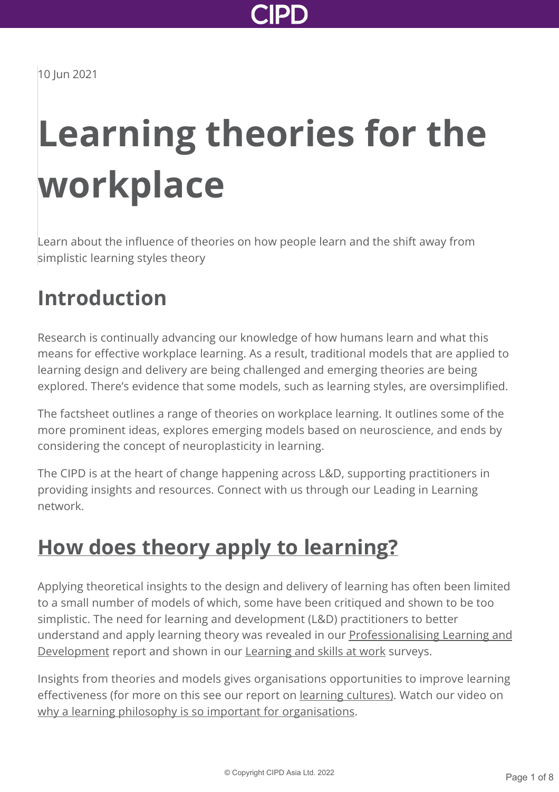

# **Learning theories for the workplace**

Learn about the influence of theories on how people learn and the shift away from simplistic learning styles theory

### **Introduction**

Research is continually advancing our knowledge of how humans learn and what this means for effective workplace learning. As a result, traditional models that are applied to learning design and delivery are being challenged and emerging theories are being explored. There's evidence that some models, such as learning styles, are oversimplified.

The factsheet outlines a range of theories on workplace learning. It outlines some of the more prominent ideas, explores emerging models based on neuroscience, and ends by considering the concept of neuroplasticity in learning.

The CIPD is at the heart of change happening across L&D, supporting practitioners in providing insights and resources. Connect with us through our Leading in Learning network.

### **[How does theory apply to learning?](http://www.cipd.asia/knowledge/factsheets/learning-theories?pdf=true#)**

Applying theoretical insights to the design and delivery of learning has often been limited to a small number of models of which, some have been critiqued and shown to be too simplistic. The need for learning and development (L&D) practitioners to better [understand and apply learning theory was revealed in our Professionalising Learning and](http://www.cipd.asia/knowledge/reports/professionalising-learning-development/) Development report and shown in our [Learning and skills at work](http://www.cipd.asia/knowledge/reports/learning-skills-work/) surveys.

Insights from theories and models gives organisations opportunities to improve learning effectiveness (for more on this see our report on [learning cultures\).](http://www.cipd.asia/knowledge/reports/learning-cultures-evidence/) Watch our video on [why a learning philosophy is so important for organisations.](https://www.youtube.com/watch?v=dH1HlZuA2vk)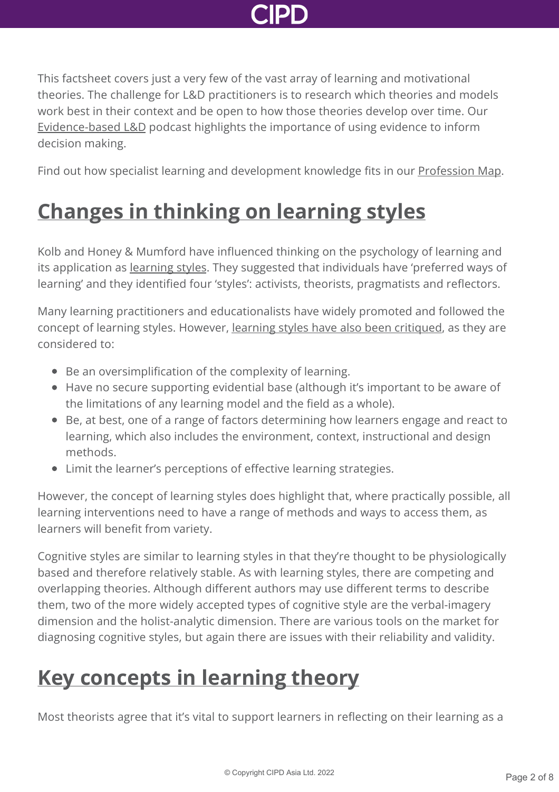

This factsheet covers just a very few of the vast array of learning and motivational theories. The challenge for L&D practitioners is to research which theories and models work best in their context and be open to how those theories develop over time. Our [Evidence-based L&D](http://www.cipd.asia/knowledge/podcasts/learning-development-evidence/) podcast highlights the importance of using evidence to inform decision making.

Find out how specialist learning and development knowledge fits in our [Profession Map.](https://peopleprofession.cipd.org/profession-map/specialist-knowledge/learning-development)

## **[Changes in thinking on learning styles](http://www.cipd.asia/knowledge/factsheets/learning-theories?pdf=true#)**

Kolb and Honey & Mumford have influenced thinking on the psychology of learning and its application as [learning styles](https://en.wikipedia.org/wiki/Learning_styles). They suggested that individuals have 'preferred ways of learning' and they identified four 'styles': activists, theorists, pragmatists and reflectors.

Many learning practitioners and educationalists have widely promoted and followed the concept of learning styles. However, [learning styles have also been critiqued](https://www.researchgate.net/publication/232929341_Learning_styles_and_pedagogy_in_post_16_education_a_critical_and_systematic_review), as they are considered to:

- Be an oversimplification of the complexity of learning.
- Have no secure supporting evidential base (although it's important to be aware of the limitations of any learning model and the field as a whole).
- Be, at best, one of a range of factors determining how learners engage and react to learning, which also includes the environment, context, instructional and design methods.
- Limit the learner's perceptions of effective learning strategies.

However, the concept of learning styles does highlight that, where practically possible, all learning interventions need to have a range of methods and ways to access them, as learners will benefit from variety.

Cognitive styles are similar to learning styles in that they're thought to be physiologically based and therefore relatively stable. As with learning styles, there are competing and overlapping theories. Although different authors may use different terms to describe them, two of the more widely accepted types of cognitive style are the verbal-imagery dimension and the holist-analytic dimension. There are various tools on the market for diagnosing cognitive styles, but again there are issues with their reliability and validity.

### **[Key concepts in learning theory](http://www.cipd.asia/knowledge/factsheets/learning-theories?pdf=true#)**

Most theorists agree that it's vital to support learners in reflecting on their learning as a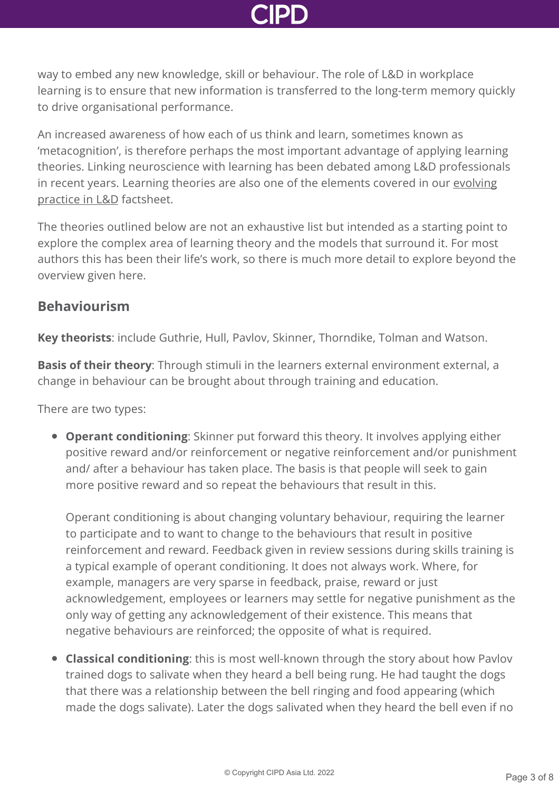way to embed any new knowledge, skill or behaviour. The role of L&D in workplace learning is to ensure that new information is transferred to the long-term memory quickly to drive organisational performance.

An increased awareness of how each of us think and learn, sometimes known as 'metacognition', is therefore perhaps the most important advantage of applying learning theories. Linking neuroscience with learning has been debated among L&D professionals [in recent years. Learning theories are also one of the elements covered in our evolving](http://www.cipd.asia/knowledge/factsheets/learning-evolving-practice/) practice in L&D factsheet.

The theories outlined below are not an exhaustive list but intended as a starting point to explore the complex area of learning theory and the models that surround it. For most authors this has been their life's work, so there is much more detail to explore beyond the overview given here.

### **Behaviourism**

**Key theorists**: include Guthrie, Hull, Pavlov, Skinner, Thorndike, Tolman and Watson.

**Basis of their theory**: Through stimuli in the learners external environment external, a change in behaviour can be brought about through training and education.

There are two types:

**Operant conditioning**: Skinner put forward this theory. It involves applying either positive reward and/or reinforcement or negative reinforcement and/or punishment and/ after a behaviour has taken place. The basis is that people will seek to gain more positive reward and so repeat the behaviours that result in this.

Operant conditioning is about changing voluntary behaviour, requiring the learner to participate and to want to change to the behaviours that result in positive reinforcement and reward. Feedback given in review sessions during skills training is a typical example of operant conditioning. It does not always work. Where, for example, managers are very sparse in feedback, praise, reward or just acknowledgement, employees or learners may settle for negative punishment as the only way of getting any acknowledgement of their existence. This means that negative behaviours are reinforced; the opposite of what is required.

**Classical conditioning**: this is most well-known through the story about how Pavlov trained dogs to salivate when they heard a bell being rung. He had taught the dogs that there was a relationship between the bell ringing and food appearing (which made the dogs salivate). Later the dogs salivated when they heard the bell even if no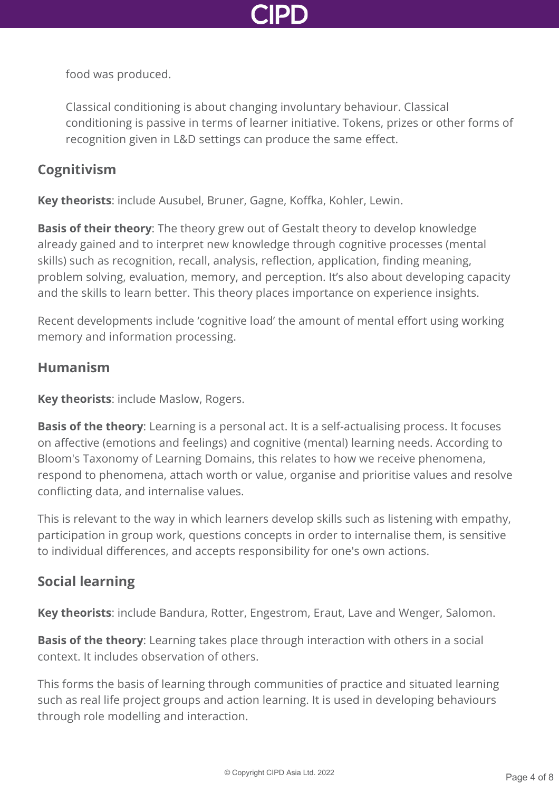

food was produced.

Classical conditioning is about changing involuntary behaviour. Classical conditioning is passive in terms of learner initiative. Tokens, prizes or other forms of recognition given in L&D settings can produce the same effect.

### **Cognitivism**

**Key theorists**: include Ausubel, Bruner, Gagne, Koffka, Kohler, Lewin.

**Basis of their theory**: The theory grew out of Gestalt theory to develop knowledge already gained and to interpret new knowledge through cognitive processes (mental skills) such as recognition, recall, analysis, reflection, application, finding meaning, problem solving, evaluation, memory, and perception. It's also about developing capacity and the skills to learn better. This theory places importance on experience insights.

Recent developments include 'cognitive load' the amount of mental effort using working memory and information processing.

### **Humanism**

**Key theorists**: include Maslow, Rogers.

**Basis of the theory**: Learning is a personal act. It is a self-actualising process. It focuses on affective (emotions and feelings) and cognitive (mental) learning needs. According to Bloom's Taxonomy of Learning Domains, this relates to how we receive phenomena, respond to phenomena, attach worth or value, organise and prioritise values and resolve conflicting data, and internalise values.

This is relevant to the way in which learners develop skills such as listening with empathy, participation in group work, questions concepts in order to internalise them, is sensitive to individual differences, and accepts responsibility for one's own actions.

### **Social learning**

**Key theorists**: include Bandura, Rotter, Engestrom, Eraut, Lave and Wenger, Salomon.

**Basis of the theory**: Learning takes place through interaction with others in a social context. It includes observation of others.

This forms the basis of learning through communities of practice and situated learning such as real life project groups and action learning. It is used in developing behaviours through role modelling and interaction.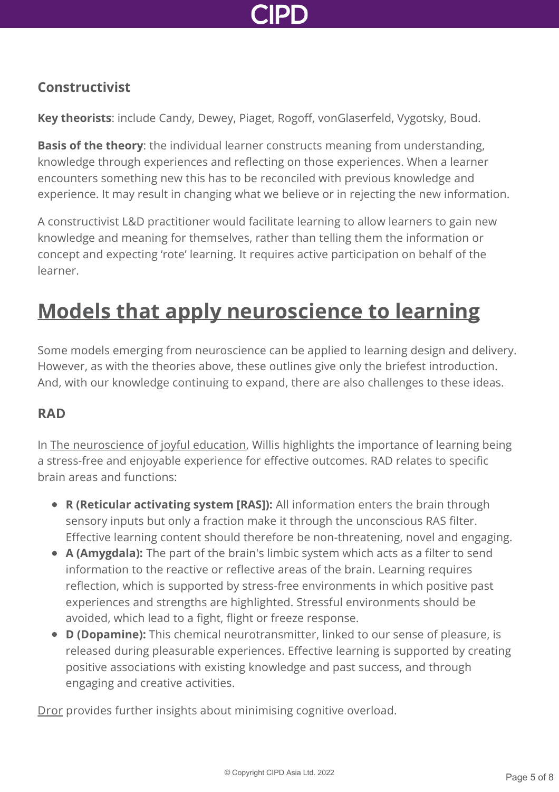

### **Constructivist**

**Key theorists**: include Candy, Dewey, Piaget, Rogoff, vonGlaserfeld, Vygotsky, Boud.

**Basis of the theory**: the individual learner constructs meaning from understanding, knowledge through experiences and reflecting on those experiences. When a learner encounters something new this has to be reconciled with previous knowledge and experience. It may result in changing what we believe or in rejecting the new information.

A constructivist L&D practitioner would facilitate learning to allow learners to gain new knowledge and meaning for themselves, rather than telling them the information or concept and expecting 'rote' learning. It requires active participation on behalf of the learner.

### **[Models that apply neuroscience to learning](http://www.cipd.asia/knowledge/factsheets/learning-theories?pdf=true#)**

Some models emerging from neuroscience can be applied to learning design and delivery. However, as with the theories above, these outlines give only the briefest introduction. And, with our knowledge continuing to expand, there are also challenges to these ideas.

#### **RAD**

In [The neuroscience of joyful education](https://www.psychologytoday.com/files/attachments/4141/the-neuroscience-joyful-education-judy-willis-md.pdf), Willis highlights the importance of learning being a stress-free and enjoyable experience for effective outcomes. RAD relates to specific brain areas and functions:

- **R (Reticular activating system [RAS]):** All information enters the brain through sensory inputs but only a fraction make it through the unconscious RAS filter. Effective learning content should therefore be non-threatening, novel and engaging.
- **A (Amygdala):** The part of the brain's limbic system which acts as a filter to send information to the reactive or reflective areas of the brain. Learning requires reflection, which is supported by stress-free environments in which positive past experiences and strengths are highlighted. Stressful environments should be avoided, which lead to a fight, flight or freeze response.
- **D (Dopamine):** This chemical neurotransmitter, linked to our sense of pleasure, is released during pleasurable experiences. Effective learning is supported by creating positive associations with existing knowledge and past success, and through engaging and creative activities.

[Dror](https://www.ucl.ac.uk/~ucjtidr/) provides further insights about minimising cognitive overload.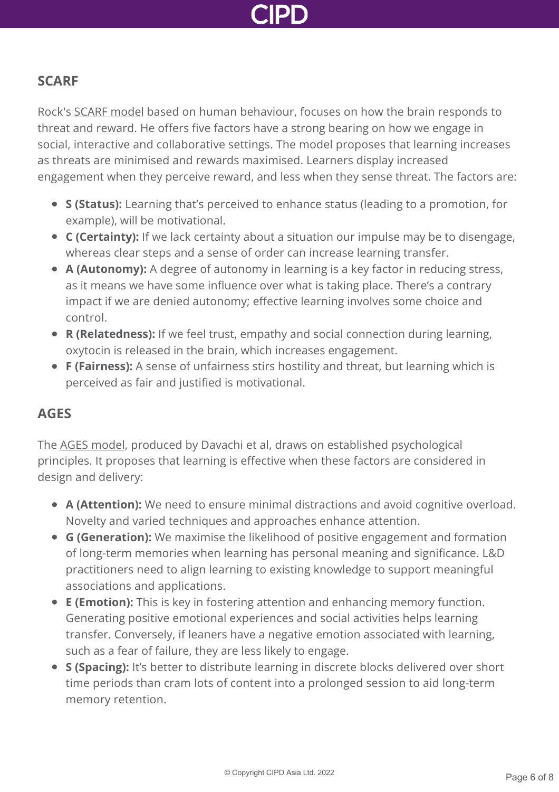

#### **SCARF**

Rock's [SCARF model](http://web.archive.org/web/20100705024057/http:/www.your-brain-at-work.com/files/NLJ_SCARFUS.pdf) based on human behaviour, focuses on how the brain responds to threat and reward. He offers five factors have a strong bearing on how we engage in social, interactive and collaborative settings. The model proposes that learning increases as threats are minimised and rewards maximised. Learners display increased engagement when they perceive reward, and less when they sense threat. The factors are:

- **S (Status):** Learning that's perceived to enhance status (leading to a promotion, for example), will be motivational.
- **C (Certainty):** If we lack certainty about a situation our impulse may be to disengage, whereas clear steps and a sense of order can increase learning transfer.
- **A (Autonomy):** A degree of autonomy in learning is a key factor in reducing stress, as it means we have some influence over what is taking place. There's a contrary impact if we are denied autonomy; effective learning involves some choice and control.
- **R (Relatedness):** If we feel trust, empathy and social connection during learning, oxytocin is released in the brain, which increases engagement.
- **F (Fairness):** A sense of unfairness stirs hostility and threat, but learning which is perceived as fair and justified is motivational.

#### **AGES**

The [AGES model](http://docplayer.net/43864-Learning-that-lasts-through-ages-dr-lila-davachi-dr-tobias-kiefer-dr-david-rock-and-lisa-rock.html), produced by Davachi et al, draws on established psychological principles. It proposes that learning is effective when these factors are considered in design and delivery:

- **A (Attention):** We need to ensure minimal distractions and avoid cognitive overload. Novelty and varied techniques and approaches enhance attention.
- **G (Generation):** We maximise the likelihood of positive engagement and formation of long-term memories when learning has personal meaning and significance. L&D practitioners need to align learning to existing knowledge to support meaningful associations and applications.
- **E (Emotion):** This is key in fostering attention and enhancing memory function. Generating positive emotional experiences and social activities helps learning transfer. Conversely, if leaners have a negative emotion associated with learning, such as a fear of failure, they are less likely to engage.
- **S (Spacing):** It's better to distribute learning in discrete blocks delivered over short time periods than cram lots of content into a prolonged session to aid long-term memory retention.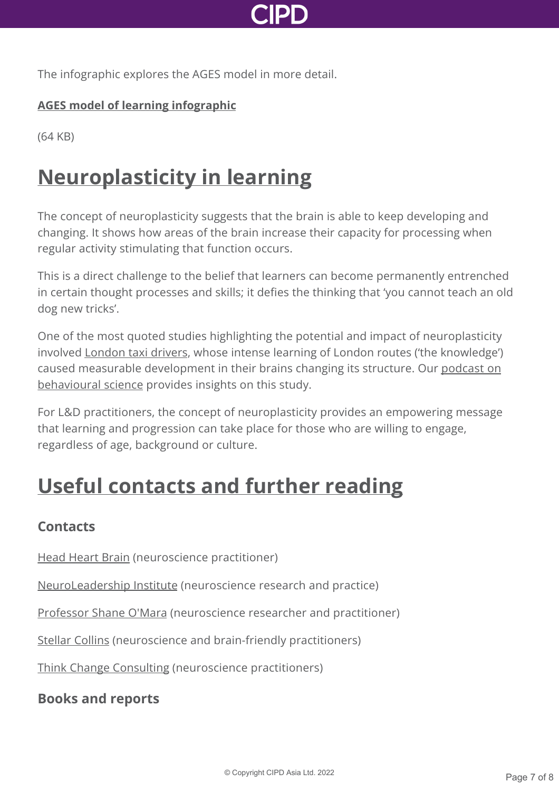

The infographic explores the AGES model in more detail.

#### **[AGES model of learning infographic](http://www.cipd.asia/Images/7558-neuroscience-infographic-FINAL_tcm23-24930.pdf)**

(64 KB)

### **[Neuroplasticity in learning](http://www.cipd.asia/knowledge/factsheets/learning-theories?pdf=true#)**

The concept of neuroplasticity suggests that the brain is able to keep developing and changing. It shows how areas of the brain increase their capacity for processing when regular activity stimulating that function occurs.

This is a direct challenge to the belief that learners can become permanently entrenched in certain thought processes and skills; it defies the thinking that 'you cannot teach an old dog new tricks'.

One of the most quoted studies highlighting the potential and impact of neuroplasticity involved [London taxi drivers,](https://mslindstrom.files.wordpress.com/2011/01/maguire-taxi-drivers.pdf) whose intense learning of London routes ('the knowledge') [caused measurable development in their brains changing its structure. Our podcast on](http://www.cipd.asia/knowledge/podcasts/behavioural-science/) behavioural science provides insights on this study.

For L&D practitioners, the concept of neuroplasticity provides an empowering message that learning and progression can take place for those who are willing to engage, regardless of age, background or culture.

### **[Useful contacts and further reading](http://www.cipd.asia/knowledge/factsheets/learning-theories?pdf=true#)**

### **Contacts**

[Head Heart Brain](https://www.headheartbrain.com/) (neuroscience practitioner)

[NeuroLeadership Institute](https://neuroleadership.com/) (neuroscience research and practice)

[Professor Shane O'Mara](https://shaneomara.com/) (neuroscience researcher and practitioner)

[Stellar Collins](http://stellarlearning.co.uk/) (neuroscience and brain-friendly practitioners)

[Think Change Consulting](http://www.thinkchangeconsulting.com/) (neuroscience practitioners)

### **Books and reports**